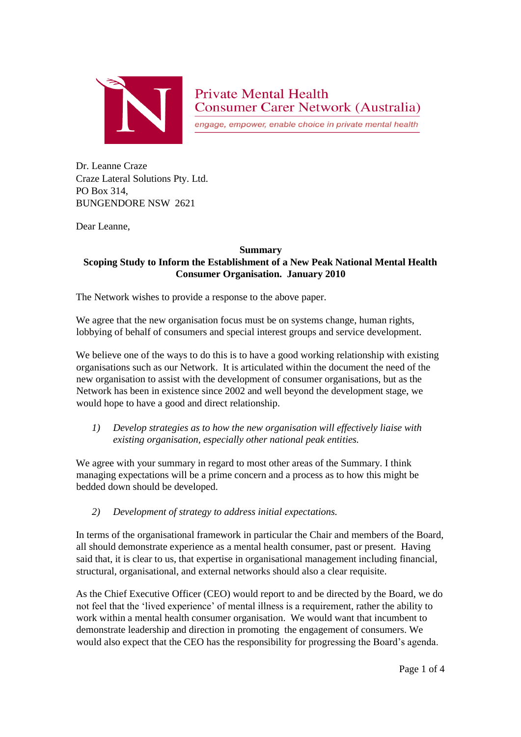

**Private Mental Health Consumer Carer Network (Australia)** 

engage, empower, enable choice in private mental health

Dr. Leanne Craze Craze Lateral Solutions Pty. Ltd. PO Box 314, BUNGENDORE NSW 2621

Dear Leanne,

## **Summary**

## **Scoping Study to Inform the Establishment of a New Peak National Mental Health Consumer Organisation. January 2010**

The Network wishes to provide a response to the above paper.

We agree that the new organisation focus must be on systems change, human rights, lobbying of behalf of consumers and special interest groups and service development.

We believe one of the ways to do this is to have a good working relationship with existing organisations such as our Network. It is articulated within the document the need of the new organisation to assist with the development of consumer organisations, but as the Network has been in existence since 2002 and well beyond the development stage, we would hope to have a good and direct relationship.

*1) Develop strategies as to how the new organisation will effectively liaise with existing organisation, especially other national peak entities.*

We agree with your summary in regard to most other areas of the Summary. I think managing expectations will be a prime concern and a process as to how this might be bedded down should be developed.

*2) Development of strategy to address initial expectations.*

In terms of the organisational framework in particular the Chair and members of the Board, all should demonstrate experience as a mental health consumer, past or present. Having said that, it is clear to us, that expertise in organisational management including financial, structural, organisational, and external networks should also a clear requisite.

As the Chief Executive Officer (CEO) would report to and be directed by the Board, we do not feel that the 'lived experience' of mental illness is a requirement, rather the ability to work within a mental health consumer organisation. We would want that incumbent to demonstrate leadership and direction in promoting the engagement of consumers. We would also expect that the CEO has the responsibility for progressing the Board's agenda.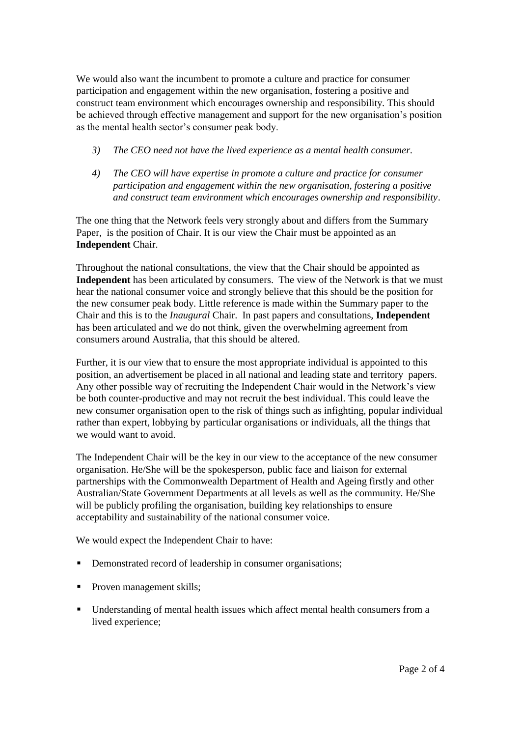We would also want the incumbent to promote a culture and practice for consumer participation and engagement within the new organisation, fostering a positive and construct team environment which encourages ownership and responsibility. This should be achieved through effective management and support for the new organisation's position as the mental health sector's consumer peak body.

- *3) The CEO need not have the lived experience as a mental health consumer.*
- *4) The CEO will have expertise in promote a culture and practice for consumer participation and engagement within the new organisation, fostering a positive and construct team environment which encourages ownership and responsibility*.

The one thing that the Network feels very strongly about and differs from the Summary Paper, is the position of Chair. It is our view the Chair must be appointed as an **Independent** Chair.

Throughout the national consultations, the view that the Chair should be appointed as **Independent** has been articulated by consumers. The view of the Network is that we must hear the national consumer voice and strongly believe that this should be the position for the new consumer peak body. Little reference is made within the Summary paper to the Chair and this is to the *Inaugural* Chair. In past papers and consultations, **Independent** has been articulated and we do not think, given the overwhelming agreement from consumers around Australia, that this should be altered.

Further, it is our view that to ensure the most appropriate individual is appointed to this position, an advertisement be placed in all national and leading state and territory papers. Any other possible way of recruiting the Independent Chair would in the Network's view be both counter-productive and may not recruit the best individual. This could leave the new consumer organisation open to the risk of things such as infighting, popular individual rather than expert, lobbying by particular organisations or individuals, all the things that we would want to avoid.

The Independent Chair will be the key in our view to the acceptance of the new consumer organisation. He/She will be the spokesperson, public face and liaison for external partnerships with the Commonwealth Department of Health and Ageing firstly and other Australian/State Government Departments at all levels as well as the community. He/She will be publicly profiling the organisation, building key relationships to ensure acceptability and sustainability of the national consumer voice.

We would expect the Independent Chair to have:

- Demonstrated record of leadership in consumer organisations;
- Proven management skills;
- Understanding of mental health issues which affect mental health consumers from a lived experience;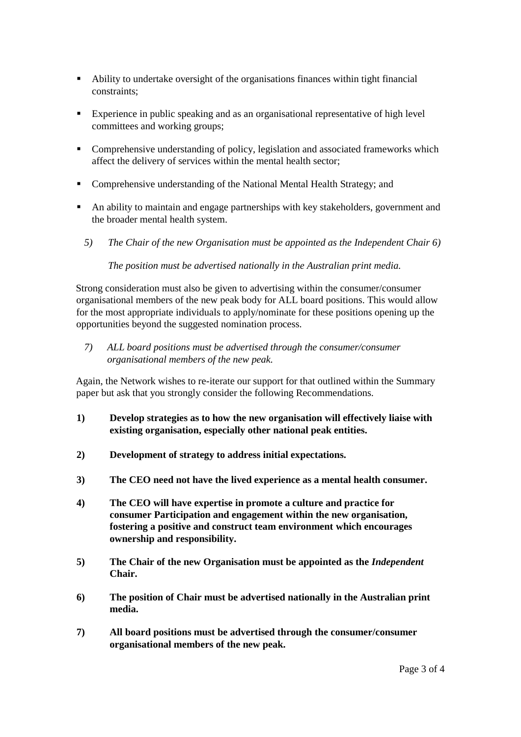- Ability to undertake oversight of the organisations finances within tight financial constraints;
- Experience in public speaking and as an organisational representative of high level committees and working groups;
- Comprehensive understanding of policy, legislation and associated frameworks which affect the delivery of services within the mental health sector;
- Comprehensive understanding of the National Mental Health Strategy; and
- An ability to maintain and engage partnerships with key stakeholders, government and the broader mental health system.
	- *5) The Chair of the new Organisation must be appointed as the Independent Chair 6)*

*The position must be advertised nationally in the Australian print media.*

Strong consideration must also be given to advertising within the consumer/consumer organisational members of the new peak body for ALL board positions. This would allow for the most appropriate individuals to apply/nominate for these positions opening up the opportunities beyond the suggested nomination process.

*7) ALL board positions must be advertised through the consumer/consumer organisational members of the new peak.*

Again, the Network wishes to re-iterate our support for that outlined within the Summary paper but ask that you strongly consider the following Recommendations.

- **1) Develop strategies as to how the new organisation will effectively liaise with existing organisation, especially other national peak entities.**
- **2) Development of strategy to address initial expectations.**
- **3) The CEO need not have the lived experience as a mental health consumer.**
- **4) The CEO will have expertise in promote a culture and practice for consumer Participation and engagement within the new organisation, fostering a positive and construct team environment which encourages ownership and responsibility.**
- **5) The Chair of the new Organisation must be appointed as the** *Independent*  **Chair.**
- **6) The position of Chair must be advertised nationally in the Australian print media.**
- **7) All board positions must be advertised through the consumer/consumer organisational members of the new peak.**